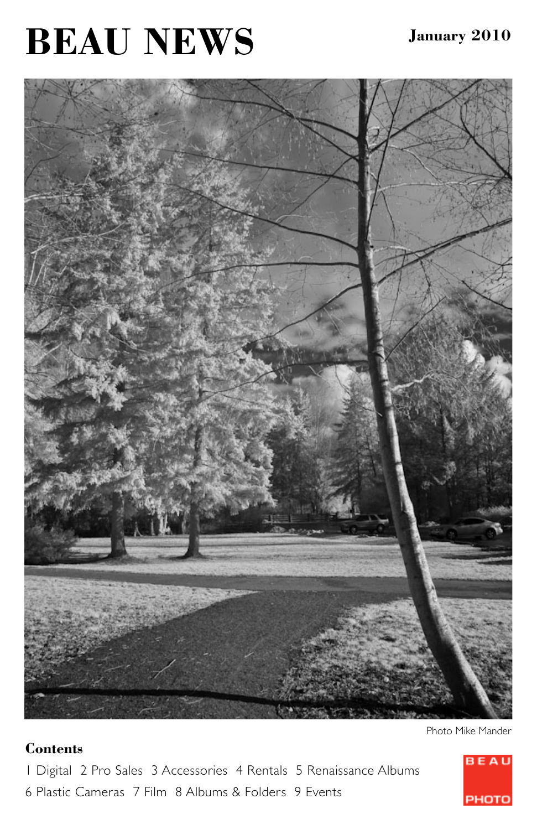# **BEAU NEWS**



#### **Contents**

1 Digital 2 Pro Sales 3 Accessories 4 Rentals 5 Renaissance Albums 6 Plastic Cameras 7 Film 8 Albums & Folders 9 Events



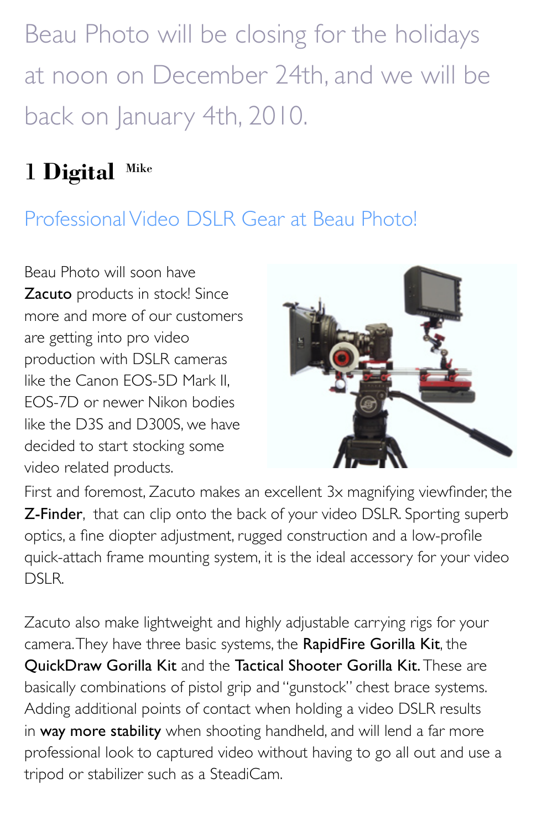Beau Photo will be closing for the holidays at noon on December 24th, and we will be back on January 4th, 2010.

## 1 **Digital** Mike

## Professional Video DSLR Gear at Beau Photo!

Beau Photo will soon have Zacuto products in stock! Since more and more of our customers are getting into pro video production with DSLR cameras like the Canon EOS-5D Mark II, EOS-7D or newer Nikon bodies like the D3S and D300S, we have decided to start stocking some video related products.



First and foremost, Zacuto makes an excellent 3x magnifying viewfinder, the **Z-Finder**, that can clip onto the back of your video DSLR. Sporting superb optics, a fine diopter adjustment, rugged construction and a low-profile quick-attach frame mounting system, it is the ideal accessory for your video DSLR.

Zacuto also make lightweight and highly adjustable carrying rigs for your camera. They have three basic systems, the RapidFire Gorilla Kit, the QuickDraw Gorilla Kit and the Tactical Shooter Gorilla Kit. These are basically combinations of pistol grip and "gunstock" chest brace systems. Adding additional points of contact when holding a video DSLR results in way more stability when shooting handheld, and will lend a far more professional look to captured video without having to go all out and use a tripod or stabilizer such as a SteadiCam.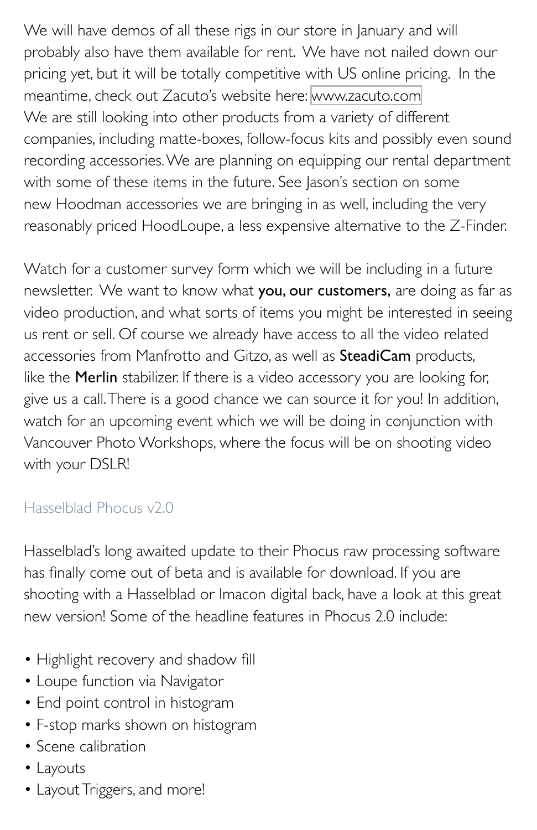We will have demos of all these rigs in our store in January and will probably also have them available for rent. We have not nailed down our pricing yet, but it will be totally competitive with US online pricing. In the meantime, check out Zacuto's website here: [www.zacuto.com](http://www.zacuto.com) We are still looking into other products from a variety of different companies, including matte-boxes, follow-focus kits and possibly even sound recording accessories. We are planning on equipping our rental department with some of these items in the future. See Jason's section on some new Hoodman accessories we are bringing in as well, including the very reasonably priced HoodLoupe, a less expensive alternative to the Z-Finder.

Watch for a customer survey form which we will be including in a future newsletter. We want to know what you, our customers, are doing as far as video production, and what sorts of items you might be interested in seeing us rent or sell. Of course we already have access to all the video related accessories from Manfrotto and Gitzo, as well as SteadiCam products, like the **Merlin** stabilizer. If there is a video accessory you are looking for, give us a call. There is a good chance we can source it for you! In addition, watch for an upcoming event which we will be doing in conjunction with Vancouver Photo Workshops, where the focus will be on shooting video with your DSLR!

#### Hasselblad Phocus v2.0

Hasselblad's long awaited update to their Phocus raw processing software has finally come out of beta and is available for download. If you are shooting with a Hasselblad or Imacon digital back, have a look at this great new version! Some of the headline features in Phocus 2.0 include:

- Highlight recovery and shadow fill
- Loupe function via Navigator
- End point control in histogram
- F-stop marks shown on histogram
- Scene calibration
- Layouts
- Layout Triggers, and more!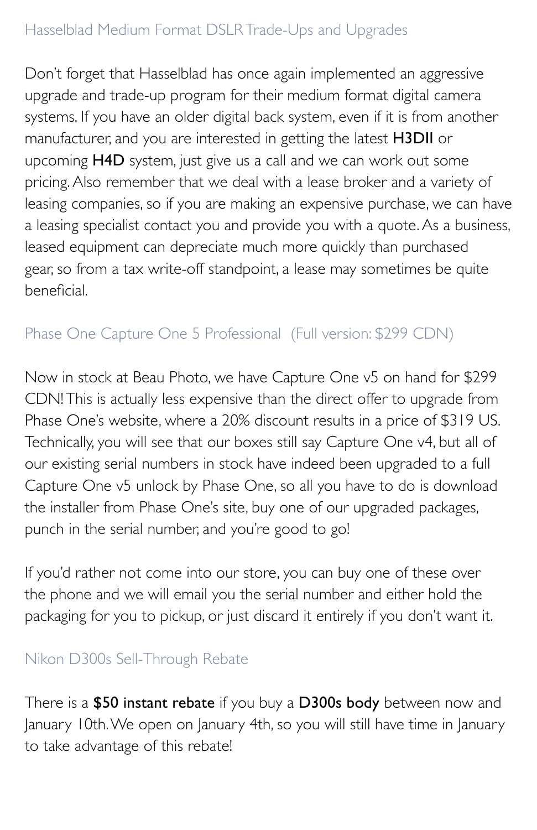#### Hasselblad Medium Format DSLR Trade-Ups and Upgrades

Don't forget that Hasselblad has once again implemented an aggressive upgrade and trade-up program for their medium format digital camera systems. If you have an older digital back system, even if it is from another manufacturer, and you are interested in getting the latest H3DII or upcoming H4D system, just give us a call and we can work out some pricing. Also remember that we deal with a lease broker and a variety of leasing companies, so if you are making an expensive purchase, we can have a leasing specialist contact you and provide you with a quote. As a business, leased equipment can depreciate much more quickly than purchased gear, so from a tax write-off standpoint, a lease may sometimes be quite beneficial.

#### Phase One Capture One 5 Professional (Full version: \$299 CDN)

Now in stock at Beau Photo, we have Capture One v5 on hand for \$299 CDN! This is actually less expensive than the direct offer to upgrade from Phase One's website, where a 20% discount results in a price of \$319 US. Technically, you will see that our boxes still say Capture One v4, but all of our existing serial numbers in stock have indeed been upgraded to a full Capture One v5 unlock by Phase One, so all you have to do is download the installer from Phase One's site, buy one of our upgraded packages, punch in the serial number, and you're good to go!

If you'd rather not come into our store, you can buy one of these over the phone and we will email you the serial number and either hold the packaging for you to pickup, or just discard it entirely if you don't want it.

#### Nikon D300s Sell-Through Rebate

There is a \$50 instant rebate if you buy a D300s body between now and January 10th. We open on January 4th, so you will still have time in January to take advantage of this rebate!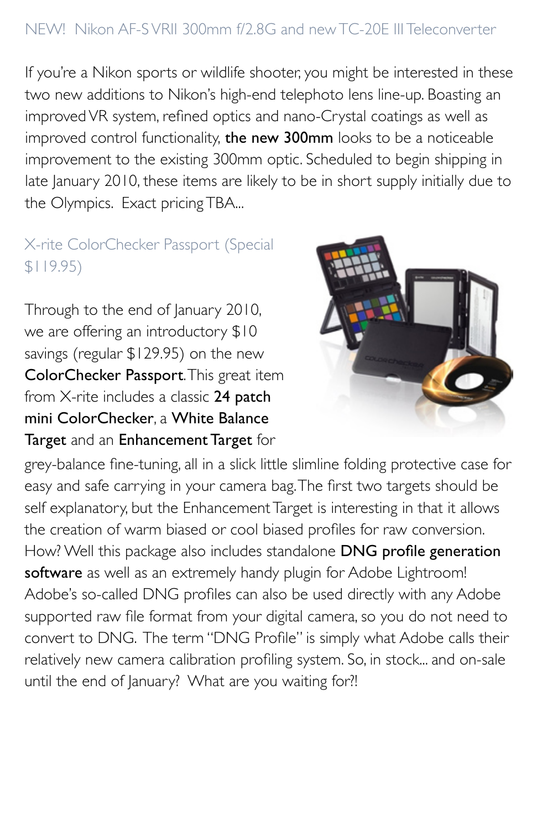#### NEW! Nikon AF-S VRII 300mm f/2.8G and new TC-20E III Teleconverter

If you're a Nikon sports or wildlife shooter, you might be interested in these two new additions to Nikon's high-end telephoto lens line-up. Boasting an improved VR system, refined optics and nano-Crystal coatings as well as improved control functionality, the new 300mm looks to be a noticeable improvement to the existing 300mm optic. Scheduled to begin shipping in late January 2010, these items are likely to be in short supply initially due to the Olympics. Exact pricing TBA...

#### X-rite ColorChecker Passport (Special \$119.95)

Through to the end of January 2010, we are offering an introductory \$10 savings (regular \$129.95) on the new ColorChecker Passport. This great item from X-rite includes a classic 24 patch mini ColorChecker, a White Balance Target and an Enhancement Target for



grey-balance fine-tuning, all in a slick little slimline folding protective case for easy and safe carrying in your camera bag. The first two targets should be self explanatory, but the Enhancement Target is interesting in that it allows the creation of warm biased or cool biased profiles for raw conversion. How? Well this package also includes standalone DNG profile generation software as well as an extremely handy plugin for Adobe Lightroom! Adobe's so-called DNG profiles can also be used directly with any Adobe supported raw file format from your digital camera, so you do not need to convert to DNG. The term "DNG Profile" is simply what Adobe calls their relatively new camera calibration profiling system. So, in stock... and on-sale until the end of January? What are you waiting for?!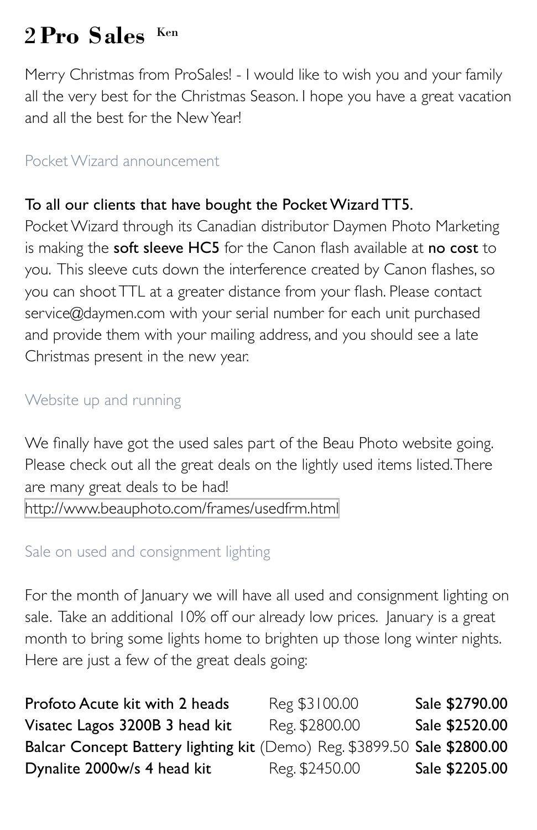## 2 **Pro Sales** Ken

Merry Christmas from ProSales! - I would like to wish you and your family all the very best for the Christmas Season. I hope you have a great vacation and all the best for the New Year!

#### Pocket Wizard announcement

#### To all our clients that have bought the Pocket Wizard TT5.

Pocket Wizard through its Canadian distributor Daymen Photo Marketing is making the soft sleeve HC5 for the Canon flash available at no cost to you. This sleeve cuts down the interference created by Canon flashes, so you can shoot TTL at a greater distance from your flash. Please contact service@daymen.com with your serial number for each unit purchased and provide them with your mailing address, and you should see a late Christmas present in the new year.

#### Website up and running

We finally have got the used sales part of the Beau Photo website going. Please check out all the great deals on the lightly used items listed. There are many great deals to be had! <http://www.beauphoto.com/frames/usedfrm.html>

#### Sale on used and consignment lighting

For the month of January we will have all used and consignment lighting on sale. Take an additional 10% off our already low prices. January is a great month to bring some lights home to brighten up those long winter nights. Here are just a few of the great deals going:

| Profoto Acute kit with 2 heads                                           | Reg \$3100.00  | Sale \$2790.00 |
|--------------------------------------------------------------------------|----------------|----------------|
| Visatec Lagos 3200B 3 head kit                                           | Reg. \$2800.00 | Sale \$2520.00 |
| Balcar Concept Battery lighting kit (Demo) Reg. \$3899.50 Sale \$2800.00 |                |                |
| Dynalite 2000w/s 4 head kit                                              | Reg. \$2450.00 | Sale \$2205.00 |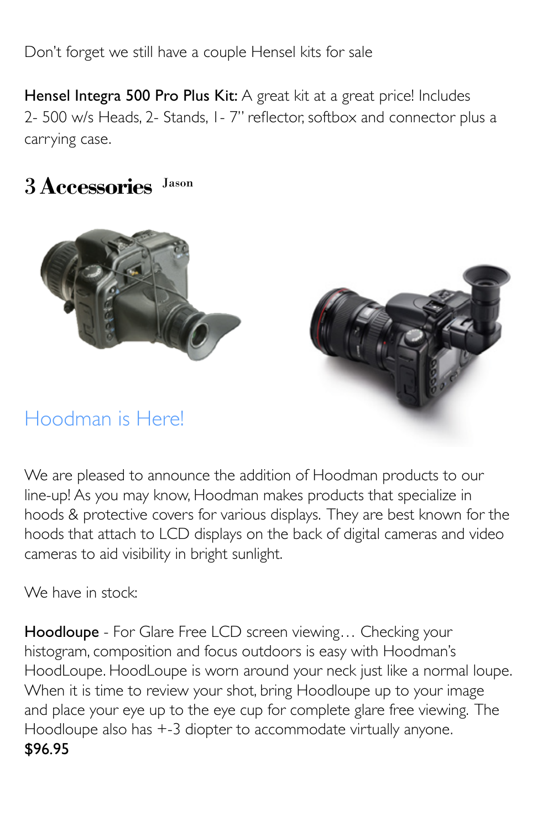Don't forget we still have a couple Hensel kits for sale

Hensel Integra 500 Pro Plus Kit: A great kit at a great price! Includes 2- 500 w/s Heads, 2- Stands, 1- 7" reflector, softbox and connector plus a carrying case.

### 3 **Accessories** Jason



## Hoodman is Here!



We are pleased to announce the addition of Hoodman products to our line-up! As you may know, Hoodman makes products that specialize in hoods & protective covers for various displays. They are best known for the hoods that attach to LCD displays on the back of digital cameras and video cameras to aid visibility in bright sunlight.

We have in stock:

Hoodloupe - For Glare Free LCD screen viewing... Checking your histogram, composition and focus outdoors is easy with Hoodman's HoodLoupe. HoodLoupe is worn around your neck just like a normal loupe. When it is time to review your shot, bring Hoodloupe up to your image and place your eye up to the eye cup for complete glare free viewing. The Hoodloupe also has +-3 diopter to accommodate virtually anyone. \$96.95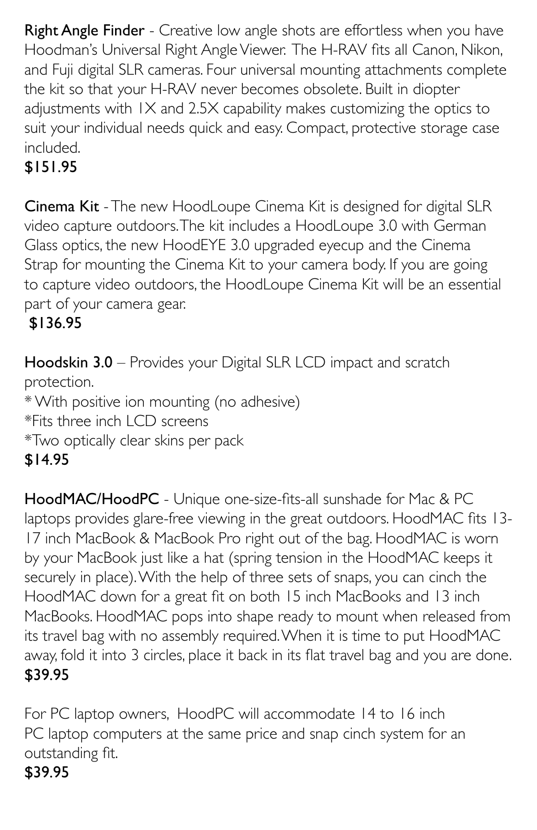Right Angle Finder - Creative low angle shots are effortless when you have Hoodman's Universal Right Angle Viewer. The H-RAV fits all Canon, Nikon, and Fuji digital SLR cameras. Four universal mounting attachments complete the kit so that your H-RAV never becomes obsolete. Built in diopter adjustments with 1X and 2.5X capability makes customizing the optics to suit your individual needs quick and easy. Compact, protective storage case included.

### \$151.95

Cinema Kit - The new HoodLoupe Cinema Kit is designed for digital SLR video capture outdoors. The kit includes a HoodLoupe 3.0 with German Glass optics, the new HoodEYE 3.0 upgraded eyecup and the Cinema Strap for mounting the Cinema Kit to your camera body. If you are going to capture video outdoors, the HoodLoupe Cinema Kit will be an essential part of your camera gear.

### \$136.95

Hoodskin 3.0 – Provides your Digital SLR LCD impact and scratch protection. \* With positive ion mounting (no adhesive) \*Fits three inch LCD screens \*Two optically clear skins per pack \$14.95

HoodMAC/HoodPC - Unique one-size-fits-all sunshade for Mac & PC laptops provides glare-free viewing in the great outdoors. HoodMAC fits 13- 17 inch MacBook & MacBook Pro right out of the bag. HoodMAC is worn by your MacBook just like a hat (spring tension in the HoodMAC keeps it securely in place). With the help of three sets of snaps, you can cinch the HoodMAC down for a great fit on both 15 inch MacBooks and 13 inch MacBooks. HoodMAC pops into shape ready to mount when released from its travel bag with no assembly required. When it is time to put HoodMAC away, fold it into 3 circles, place it back in its flat travel bag and you are done. \$39.95

For PC laptop owners, HoodPC will accommodate 14 to 16 inch PC laptop computers at the same price and snap cinch system for an outstanding fit.

#### \$39.95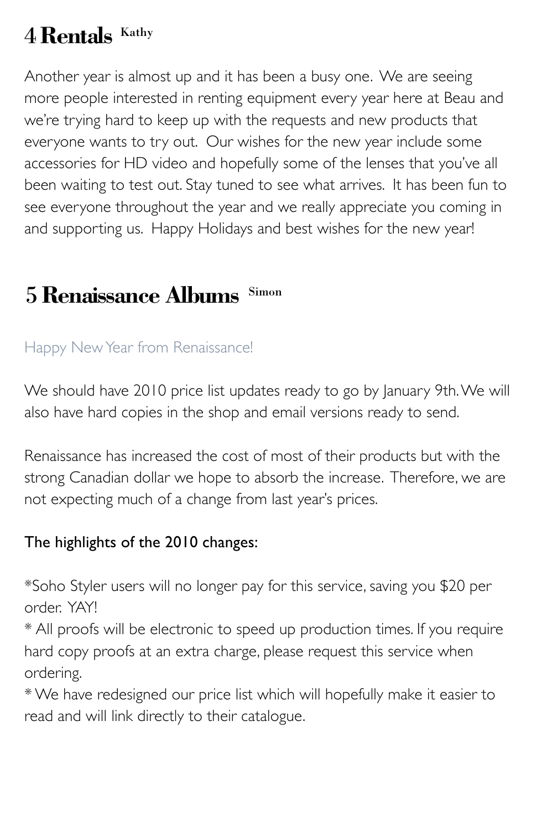## 4 **Rentals** Kathy

Another year is almost up and it has been a busy one. We are seeing more people interested in renting equipment every year here at Beau and we're trying hard to keep up with the requests and new products that everyone wants to try out. Our wishes for the new year include some accessories for HD video and hopefully some of the lenses that you've all been waiting to test out. Stay tuned to see what arrives. It has been fun to see everyone throughout the year and we really appreciate you coming in and supporting us. Happy Holidays and best wishes for the new year!

## 5 **Renaissance Albums** Simon

#### Happy New Year from Renaissance!

We should have 2010 price list updates ready to go by January 9th. We will also have hard copies in the shop and email versions ready to send.

Renaissance has increased the cost of most of their products but with the strong Canadian dollar we hope to absorb the increase. Therefore, we are not expecting much of a change from last year's prices.

#### The highlights of the 2010 changes:

\*Soho Styler users will no longer pay for this service, saving you \$20 per order. YAY!

\* All proofs will be electronic to speed up production times. If you require hard copy proofs at an extra charge, please request this service when ordering.

\* We have redesigned our price list which will hopefully make it easier to read and will link directly to their catalogue.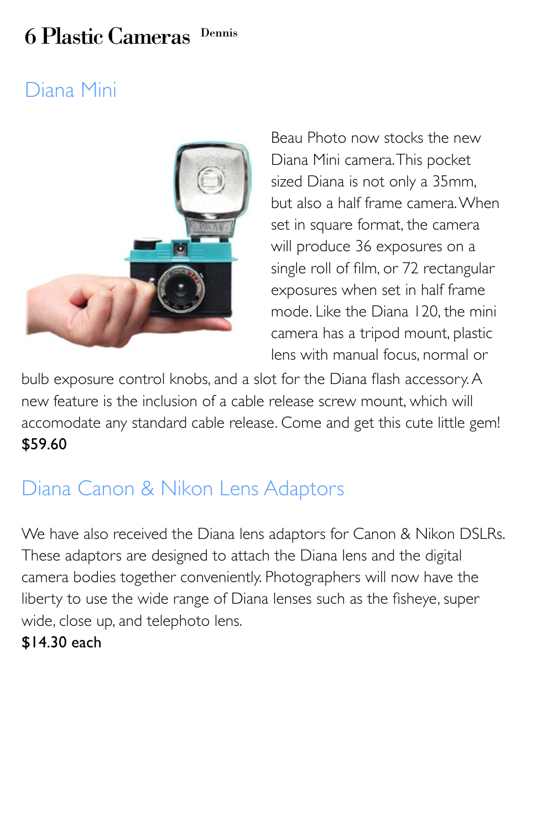## 6 Plastic Cameras Dennis

## Diana Mini



Beau Photo now stocks the new Diana Mini camera. This pocket sized Diana is not only a 35mm, but also a half frame camera. When set in square format, the camera will produce 36 exposures on a single roll of film, or 72 rectangular exposures when set in half frame mode. Like the Diana 120, the mini camera has a tripod mount, plastic lens with manual focus, normal or

bulb exposure control knobs, and a slot for the Diana flash accessory. A new feature is the inclusion of a cable release screw mount, which will accomodate any standard cable release. Come and get this cute little gem! \$59.60

## Diana Canon & Nikon Lens Adaptors

We have also received the Diana lens adaptors for Canon & Nikon DSLRs. These adaptors are designed to attach the Diana lens and the digital camera bodies together conveniently. Photographers will now have the liberty to use the wide range of Diana lenses such as the fisheye, super wide, close up, and telephoto lens.

\$14.30 each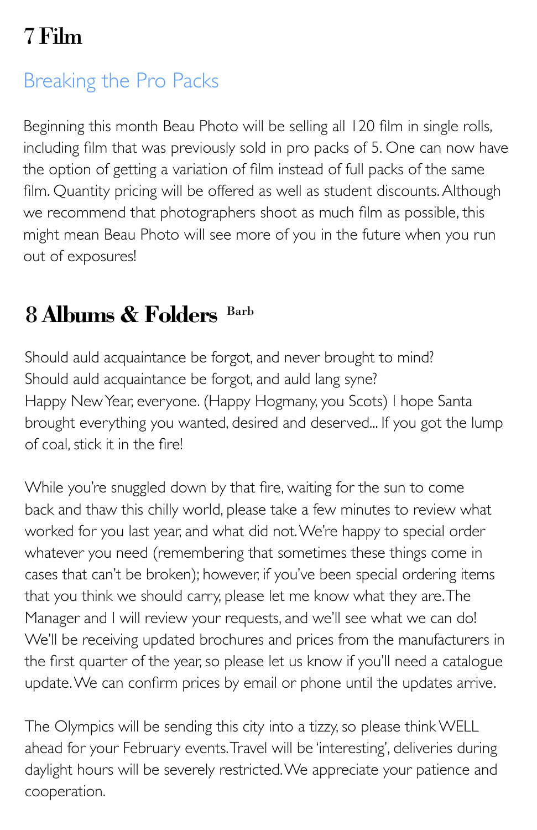## 7 Film

## Breaking the Pro Packs

Beginning this month Beau Photo will be selling all 120 film in single rolls, including film that was previously sold in pro packs of 5. One can now have the option of getting a variation of film instead of full packs of the same film. Quantity pricing will be offered as well as student discounts. Although we recommend that photographers shoot as much film as possible, this might mean Beau Photo will see more of you in the future when you run out of exposures!

## 8 **Albums & Folders** Barb

Should auld acquaintance be forgot, and never brought to mind? Should auld acquaintance be forgot, and auld lang syne? Happy New Year, everyone. (Happy Hogmany, you Scots) I hope Santa brought everything you wanted, desired and deserved... If you got the lump of coal, stick it in the fire!

While you're snuggled down by that fire, waiting for the sun to come back and thaw this chilly world, please take a few minutes to review what worked for you last year, and what did not. We're happy to special order whatever you need (remembering that sometimes these things come in cases that can't be broken); however, if you've been special ordering items that you think we should carry, please let me know what they are. The Manager and I will review your requests, and we'll see what we can do! We'll be receiving updated brochures and prices from the manufacturers in the first quarter of the year, so please let us know if you'll need a catalogue update. We can confirm prices by email or phone until the updates arrive.

The Olympics will be sending this city into a tizzy, so please think WELL ahead for your February events. Travel will be 'interesting', deliveries during daylight hours will be severely restricted. We appreciate your patience and cooperation.